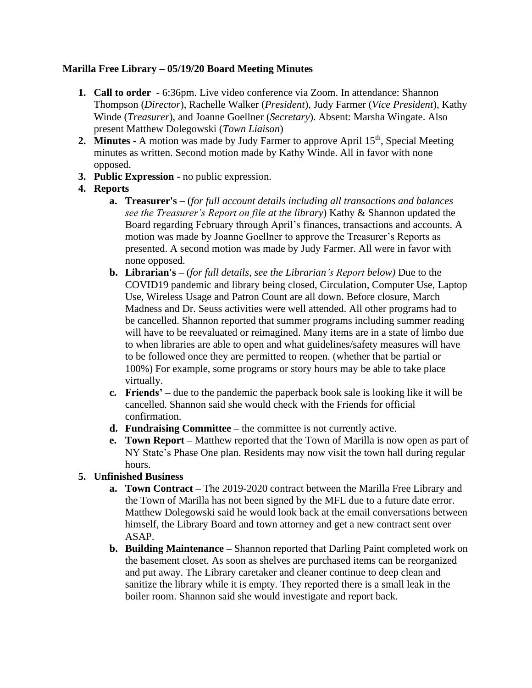# **Marilla Free Library – 05/19/20 Board Meeting Minutes**

- **1. Call to order** 6:36pm. Live video conference via Zoom. In attendance: Shannon Thompson (*Director*), Rachelle Walker (*President*), Judy Farmer (*Vice President*), Kathy Winde (*Treasurer*), and Joanne Goellner (*Secretary*). Absent: Marsha Wingate. Also present Matthew Dolegowski (*Town Liaison*)
- **2. Minutes -** A motion was made by Judy Farmer to approve April 15<sup>th</sup>, Special Meeting minutes as written. Second motion made by Kathy Winde. All in favor with none opposed.
- **3. Public Expression -** no public expression.
- **4. Reports**
	- **a. Treasurer's –** (*for full account details including all transactions and balances see the Treasurer's Report on file at the library*) Kathy & Shannon updated the Board regarding February through April's finances, transactions and accounts. A motion was made by Joanne Goellner to approve the Treasurer's Reports as presented. A second motion was made by Judy Farmer. All were in favor with none opposed.
	- **b. Librarian's –** (*for full details, see the Librarian's Report below)* Due to the COVID19 pandemic and library being closed, Circulation, Computer Use, Laptop Use, Wireless Usage and Patron Count are all down. Before closure, March Madness and Dr. Seuss activities were well attended. All other programs had to be cancelled. Shannon reported that summer programs including summer reading will have to be reevaluated or reimagined. Many items are in a state of limbo due to when libraries are able to open and what guidelines/safety measures will have to be followed once they are permitted to reopen. (whether that be partial or 100%) For example, some programs or story hours may be able to take place virtually.
	- **c. Friends' –** due to the pandemic the paperback book sale is looking like it will be cancelled. Shannon said she would check with the Friends for official confirmation.
	- **d. Fundraising Committee –** the committee is not currently active.
	- **e. Town Report –** Matthew reported that the Town of Marilla is now open as part of NY State's Phase One plan. Residents may now visit the town hall during regular hours.

# **5. Unfinished Business**

- **a. Town Contract –** The 2019-2020 contract between the Marilla Free Library and the Town of Marilla has not been signed by the MFL due to a future date error. Matthew Dolegowski said he would look back at the email conversations between himself, the Library Board and town attorney and get a new contract sent over ASAP.
- **b. Building Maintenance –** Shannon reported that Darling Paint completed work on the basement closet. As soon as shelves are purchased items can be reorganized and put away. The Library caretaker and cleaner continue to deep clean and sanitize the library while it is empty. They reported there is a small leak in the boiler room. Shannon said she would investigate and report back.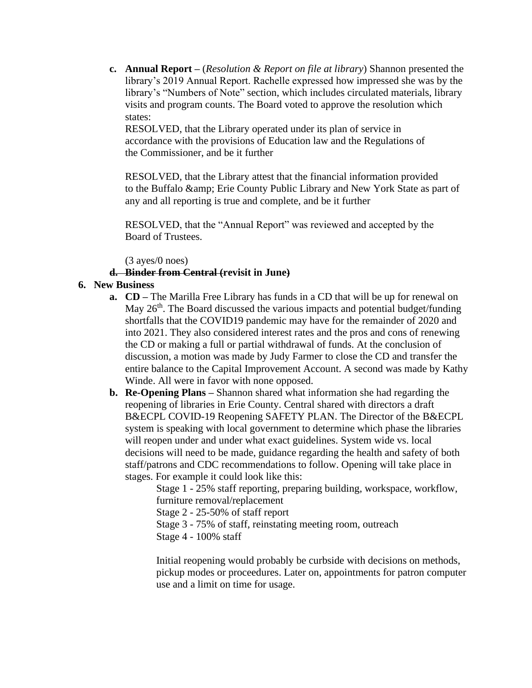**c. Annual Report –** (*Resolution & Report on file at library*) Shannon presented the library's 2019 Annual Report. Rachelle expressed how impressed she was by the library's "Numbers of Note" section, which includes circulated materials, library visits and program counts. The Board voted to approve the resolution which states:

RESOLVED, that the Library operated under its plan of service in accordance with the provisions of Education law and the Regulations of the Commissioner, and be it further

RESOLVED, that the Library attest that the financial information provided to the Buffalo & amp; Erie County Public Library and New York State as part of any and all reporting is true and complete, and be it further

RESOLVED, that the "Annual Report" was reviewed and accepted by the Board of Trustees.

(3 ayes/0 noes)

## **d. Binder from Central (revisit in June)**

## **6. New Business**

- **a. CD** The Marilla Free Library has funds in a CD that will be up for renewal on May 26<sup>th</sup>. The Board discussed the various impacts and potential budget/funding shortfalls that the COVID19 pandemic may have for the remainder of 2020 and into 2021. They also considered interest rates and the pros and cons of renewing the CD or making a full or partial withdrawal of funds. At the conclusion of discussion, a motion was made by Judy Farmer to close the CD and transfer the entire balance to the Capital Improvement Account. A second was made by Kathy Winde. All were in favor with none opposed.
- **b. Re-Opening Plans –** Shannon shared what information she had regarding the reopening of libraries in Erie County. Central shared with directors a draft B&ECPL COVID-19 Reopening SAFETY PLAN. The Director of the B&ECPL system is speaking with local government to determine which phase the libraries will reopen under and under what exact guidelines. System wide vs. local decisions will need to be made, guidance regarding the health and safety of both staff/patrons and CDC recommendations to follow. Opening will take place in stages. For example it could look like this:

Stage 1 - 25% staff reporting, preparing building, workspace, workflow, furniture removal/replacement

Stage 2 - 25-50% of staff report

Stage 3 - 75% of staff, reinstating meeting room, outreach

Stage 4 - 100% staff

Initial reopening would probably be curbside with decisions on methods, pickup modes or proceedures. Later on, appointments for patron computer use and a limit on time for usage.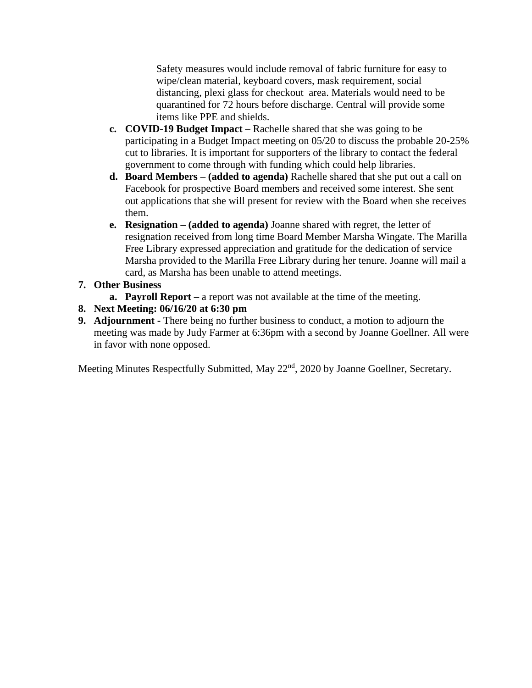Safety measures would include removal of fabric furniture for easy to wipe/clean material, keyboard covers, mask requirement, social distancing, plexi glass for checkout area. Materials would need to be quarantined for 72 hours before discharge. Central will provide some items like PPE and shields.

- **c. COVID-19 Budget Impact –** Rachelle shared that she was going to be participating in a Budget Impact meeting on 05/20 to discuss the probable 20-25% cut to libraries. It is important for supporters of the library to contact the federal government to come through with funding which could help libraries.
- **d. Board Members – (added to agenda)** Rachelle shared that she put out a call on Facebook for prospective Board members and received some interest. She sent out applications that she will present for review with the Board when she receives them.
- **e. Resignation – (added to agenda)** Joanne shared with regret, the letter of resignation received from long time Board Member Marsha Wingate. The Marilla Free Library expressed appreciation and gratitude for the dedication of service Marsha provided to the Marilla Free Library during her tenure. Joanne will mail a card, as Marsha has been unable to attend meetings.

# **7. Other Business**

- **a. Payroll Report –** a report was not available at the time of the meeting.
- **8. Next Meeting: 06/16/20 at 6:30 pm**
- **9. Adjournment -** There being no further business to conduct, a motion to adjourn the meeting was made by Judy Farmer at 6:36pm with a second by Joanne Goellner. All were in favor with none opposed.

Meeting Minutes Respectfully Submitted, May 22<sup>nd</sup>, 2020 by Joanne Goellner, Secretary.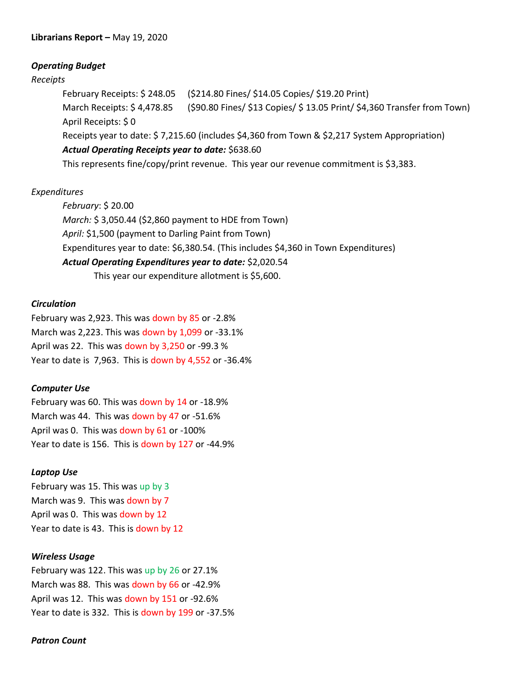#### *Operating Budget*

#### *Receipts*

February Receipts: \$ 248.05 (\$214.80 Fines/ \$14.05 Copies/ \$19.20 Print) March Receipts: \$ 4,478.85 (\$90.80 Fines/ \$13 Copies/ \$ 13.05 Print/ \$4,360 Transfer from Town) April Receipts: \$ 0 Receipts year to date: \$ 7,215.60 (includes \$4,360 from Town & \$2,217 System Appropriation) *Actual Operating Receipts year to date:* \$638.60

This represents fine/copy/print revenue. This year our revenue commitment is \$3,383.

#### *Expenditures*

*February*: \$ 20.00 *March:* \$ 3,050.44 (\$2,860 payment to HDE from Town) *April:* \$1,500 (payment to Darling Paint from Town) Expenditures year to date: \$6,380.54. (This includes \$4,360 in Town Expenditures) *Actual Operating Expenditures year to date:* \$2,020.54 This year our expenditure allotment is \$5,600.

#### *Circulation*

February was 2,923. This was down by 85 or -2.8% March was 2,223. This was down by 1,099 or -33.1% April was 22. This was down by 3,250 or -99.3 % Year to date is 7,963. This is down by 4,552 or -36.4%

#### *Computer Use*

February was 60. This was down by 14 or -18.9% March was 44. This was down by 47 or -51.6% April was 0. This was down by 61 or -100% Year to date is 156. This is down by 127 or -44.9%

#### *Laptop Use*

February was 15. This was up by 3 March was 9. This was down by 7 April was 0. This was down by 12 Year to date is 43. This is down by 12

#### *Wireless Usage*

February was 122. This was up by 26 or 27.1% March was 88. This was down by 66 or -42.9% April was 12. This was down by 151 or -92.6% Year to date is 332. This is down by 199 or -37.5%

#### *Patron Count*